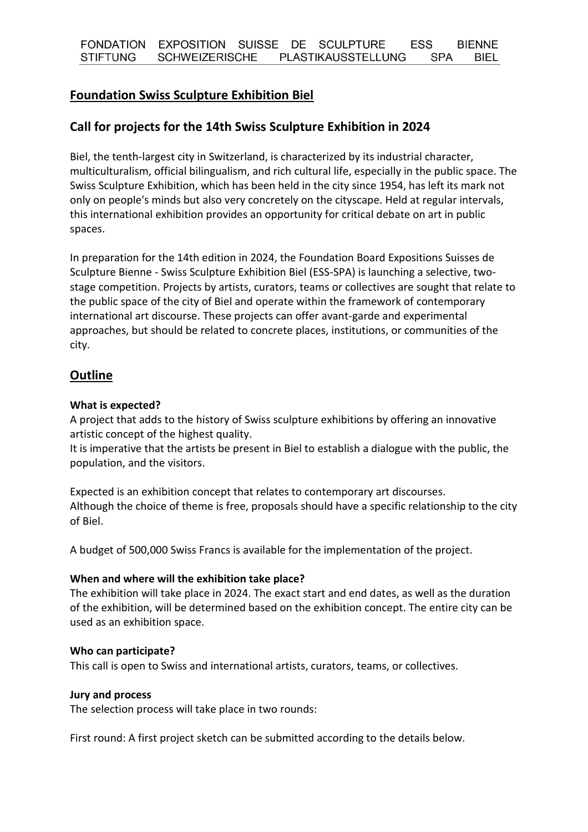# **Foundation Swiss Sculpture Exhibition Biel**

# **Call for projects for the 14th Swiss Sculpture Exhibition in 2024**

Biel, the tenth-largest city in Switzerland, is characterized by its industrial character, multiculturalism, official bilingualism, and rich cultural life, especially in the public space. The Swiss Sculpture Exhibition, which has been held in the city since 1954, has left its mark not only on people's minds but also very concretely on the cityscape. Held at regular intervals, this international exhibition provides an opportunity for critical debate on art in public spaces.

In preparation for the 14th edition in 2024, the Foundation Board Expositions Suisses de Sculpture Bienne - Swiss Sculpture Exhibition Biel (ESS-SPA) is launching a selective, twostage competition. Projects by artists, curators, teams or collectives are sought that relate to the public space of the city of Biel and operate within the framework of contemporary international art discourse. These projects can offer avant-garde and experimental approaches, but should be related to concrete places, institutions, or communities of the city.

# **Outline**

#### **What is expected?**

A project that adds to the history of Swiss sculpture exhibitions by offering an innovative artistic concept of the highest quality.

It is imperative that the artists be present in Biel to establish a dialogue with the public, the population, and the visitors.

Expected is an exhibition concept that relates to contemporary art discourses. Although the choice of theme is free, proposals should have a specific relationship to the city of Biel.

A budget of 500,000 Swiss Francs is available for the implementation of the project.

#### **When and where will the exhibition take place?**

The exhibition will take place in 2024. The exact start and end dates, as well as the duration of the exhibition, will be determined based on the exhibition concept. The entire city can be used as an exhibition space.

#### **Who can participate?**

This call is open to Swiss and international artists, curators, teams, or collectives.

#### **Jury and process**

The selection process will take place in two rounds:

First round: A first project sketch can be submitted according to the details below.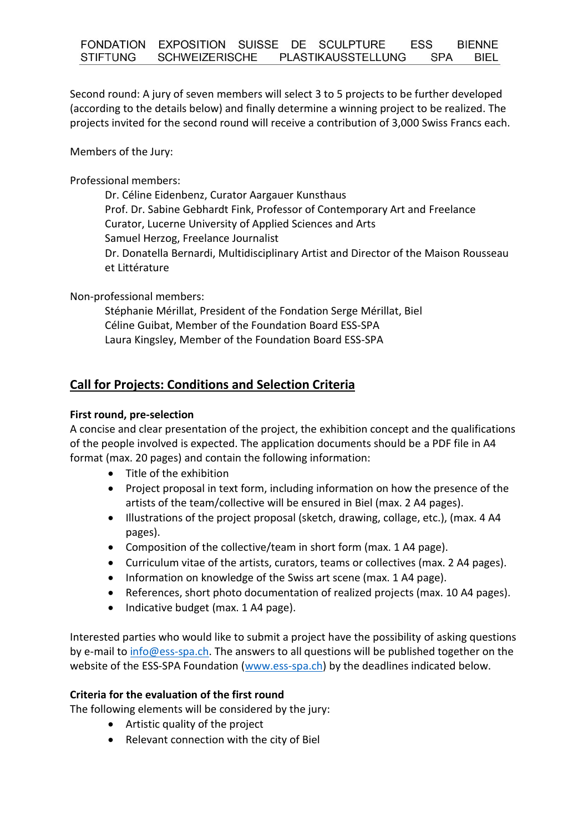Second round: A jury of seven members will select 3 to 5 projects to be further developed (according to the details below) and finally determine a winning project to be realized. The projects invited for the second round will receive a contribution of 3,000 Swiss Francs each.

Members of the Jury:

Professional members:

Dr. Céline Eidenbenz, Curator Aargauer Kunsthaus Prof. Dr. Sabine Gebhardt Fink, Professor of Contemporary Art and Freelance Curator, Lucerne University of Applied Sciences and Arts Samuel Herzog, Freelance Journalist Dr. Donatella Bernardi, Multidisciplinary Artist and Director of the Maison Rousseau et Littérature

Non-professional members:

Stéphanie Mérillat, President of the Fondation Serge Mérillat, Biel Céline Guibat, Member of the Foundation Board ESS-SPA Laura Kingsley, Member of the Foundation Board ESS-SPA

# **Call for Projects: Conditions and Selection Criteria**

#### **First round, pre-selection**

A concise and clear presentation of the project, the exhibition concept and the qualifications of the people involved is expected. The application documents should be a PDF file in A4 format (max. 20 pages) and contain the following information:

- Title of the exhibition
- Project proposal in text form, including information on how the presence of the artists of the team/collective will be ensured in Biel (max. 2 A4 pages).
- Illustrations of the project proposal (sketch, drawing, collage, etc.), (max. 4 A4 pages).
- Composition of the collective/team in short form (max. 1 A4 page).
- Curriculum vitae of the artists, curators, teams or collectives (max. 2 A4 pages).
- Information on knowledge of the Swiss art scene (max. 1 A4 page).
- References, short photo documentation of realized projects (max. 10 A4 pages).
- Indicative budget (max. 1 A4 page).

Interested parties who would like to submit a project have the possibility of asking questions by e-mail to [info@ess-spa.ch.](info@ess-spa.ch) The answers to all questions will be published together on the website of the ESS-SPA Foundation [\(www.ess-spa.ch\)](http://www.ess-spa.ch/) by the deadlines indicated below.

### **Criteria for the evaluation of the first round**

The following elements will be considered by the jury:

- Artistic quality of the project
- Relevant connection with the city of Biel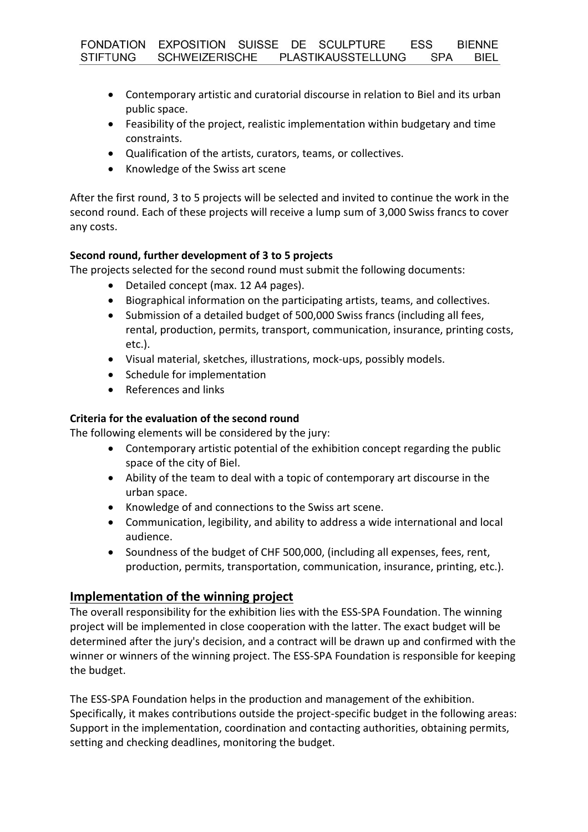- Contemporary artistic and curatorial discourse in relation to Biel and its urban public space.
- Feasibility of the project, realistic implementation within budgetary and time constraints.
- Qualification of the artists, curators, teams, or collectives.
- Knowledge of the Swiss art scene

After the first round, 3 to 5 projects will be selected and invited to continue the work in the second round. Each of these projects will receive a lump sum of 3,000 Swiss francs to cover any costs.

## **Second round, further development of 3 to 5 projects**

The projects selected for the second round must submit the following documents:

- Detailed concept (max. 12 A4 pages).
- Biographical information on the participating artists, teams, and collectives.
- Submission of a detailed budget of 500,000 Swiss francs (including all fees, rental, production, permits, transport, communication, insurance, printing costs, etc.).
- Visual material, sketches, illustrations, mock-ups, possibly models.
- Schedule for implementation
- References and links

## **Criteria for the evaluation of the second round**

The following elements will be considered by the jury:

- Contemporary artistic potential of the exhibition concept regarding the public space of the city of Biel.
- Ability of the team to deal with a topic of contemporary art discourse in the urban space.
- Knowledge of and connections to the Swiss art scene.
- Communication, legibility, and ability to address a wide international and local audience.
- Soundness of the budget of CHF 500,000, (including all expenses, fees, rent, production, permits, transportation, communication, insurance, printing, etc.).

# **Implementation of the winning project**

The overall responsibility for the exhibition lies with the ESS-SPA Foundation. The winning project will be implemented in close cooperation with the latter. The exact budget will be determined after the jury's decision, and a contract will be drawn up and confirmed with the winner or winners of the winning project. The ESS-SPA Foundation is responsible for keeping the budget.

The ESS-SPA Foundation helps in the production and management of the exhibition. Specifically, it makes contributions outside the project-specific budget in the following areas: Support in the implementation, coordination and contacting authorities, obtaining permits, setting and checking deadlines, monitoring the budget.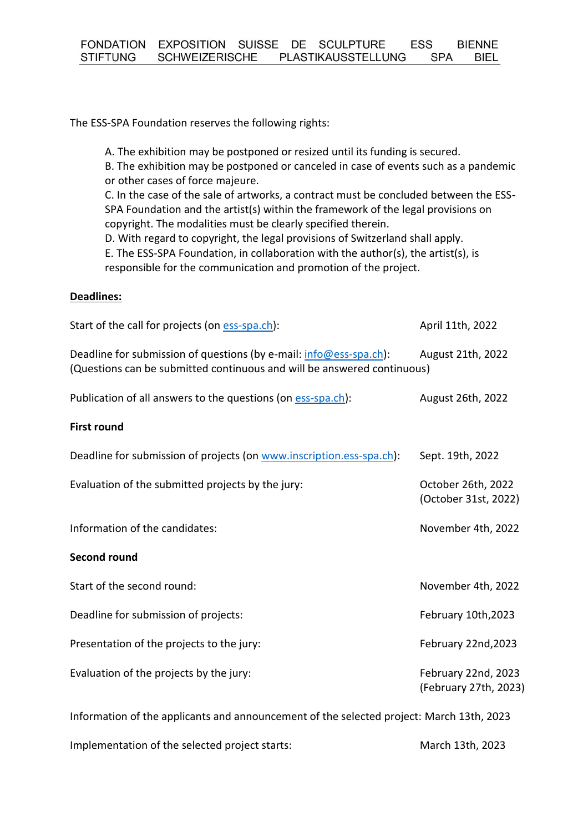The ESS-SPA Foundation reserves the following rights:

A. The exhibition may be postponed or resized until its funding is secured. B. The exhibition may be postponed or canceled in case of events such as a pandemic or other cases of force majeure. C. In the case of the sale of artworks, a contract must be concluded between the ESS-SPA Foundation and the artist(s) within the framework of the legal provisions on copyright. The modalities must be clearly specified therein. D. With regard to copyright, the legal provisions of Switzerland shall apply. E. The ESS-SPA Foundation, in collaboration with the author(s), the artist(s), is responsible for the communication and promotion of the project.

#### **Deadlines:**

| Start of the call for projects (on ess-spa.ch):                                                                                               | April 11th, 2022                             |
|-----------------------------------------------------------------------------------------------------------------------------------------------|----------------------------------------------|
| Deadline for submission of questions (by e-mail: info@ess-spa.ch):<br>(Questions can be submitted continuous and will be answered continuous) | August 21th, 2022                            |
| Publication of all answers to the questions (on ess-spa.ch):                                                                                  | August 26th, 2022                            |
| <b>First round</b>                                                                                                                            |                                              |
| Deadline for submission of projects (on www.inscription.ess-spa.ch):                                                                          | Sept. 19th, 2022                             |
| Evaluation of the submitted projects by the jury:                                                                                             | October 26th, 2022<br>(October 31st, 2022)   |
| Information of the candidates:                                                                                                                | November 4th, 2022                           |
| <b>Second round</b>                                                                                                                           |                                              |
| Start of the second round:                                                                                                                    | November 4th, 2022                           |
| Deadline for submission of projects:                                                                                                          | February 10th, 2023                          |
| Presentation of the projects to the jury:                                                                                                     | February 22nd, 2023                          |
| Evaluation of the projects by the jury:                                                                                                       | February 22nd, 2023<br>(February 27th, 2023) |
| Information of the applicants and announcement of the selected project: March 13th, 2023                                                      |                                              |

Implementation of the selected project starts: March 13th, 2023